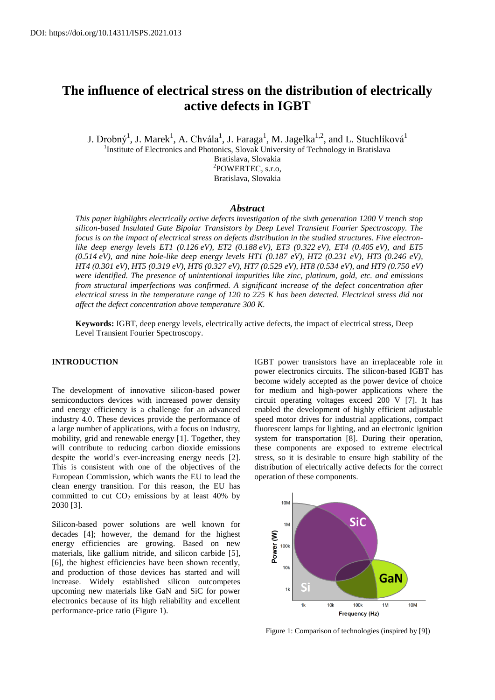# **The influence of electrical stress on the distribution of electrically active defects in IGBT**

J. Drobný $^1$ , J. Marek $^1$ , A. Chvála $^1$ , J. Faraga $^1$ , M. Jagelka $^{1,2}$ , and L. Stuchlíková $^1$ <sup>1</sup>Institute of Electronics and Photonics, Slovak University of Technology in Bratislava Bratislava, Slovakia 2 POWERTEC, s.r.o, Bratislava, Slovakia

#### *Abstract*

*This paper highlights electrically active defects investigation of the sixth generation 1200 V trench stop silicon-based Insulated Gate Bipolar Transistors by Deep Level Transient Fourier Spectroscopy. The focus is on the impact of electrical stress on defects distribution in the studied structures. Five electronlike deep energy levels ET1 (0.126 eV), ET2 (0.188 eV), ET3 (0.322 eV), ET4 (0.405 eV), and ET5 (0.514 eV), and nine hole-like deep energy levels HT1 (0.187 eV), HT2 (0.231 eV), HT3 (0.246 eV), HT4 (0.301 eV), HT5 (0.319 eV), HT6 (0.327 eV), HT7 (0.529 eV), HT8 (0.534 eV), and HT9 (0.750 eV) were identified. The presence of unintentional impurities like zinc, platinum, gold, etc. and emissions from structural imperfections was confirmed. A significant increase of the defect concentration after electrical stress in the temperature range of 120 to 225 K has been detected. Electrical stress did not affect the defect concentration above temperature 300 K.*

**Keywords:** IGBT, deep energy levels, electrically active defects, the impact of electrical stress, Deep Level Transient Fourier Spectroscopy.

### **INTRODUCTION**

The development of innovative silicon-based power semiconductors devices with increased power density and energy efficiency is a challenge for an advanced industry 4.0. These devices provide the performance of a large number of applications, with a focus on industry, mobility, grid and renewable energy [1]. Together, they will contribute to reducing carbon dioxide emissions despite the world's ever-increasing energy needs [2]. This is consistent with one of the objectives of the European Commission, which wants the EU to lead the clean energy transition. For this reason, the EU has committed to cut  $CO<sub>2</sub>$  emissions by at least 40% by 2030 [3].

Silicon-based power solutions are well known for decades [4]; however, the demand for the highest energy efficiencies are growing. Based on new materials, like gallium nitride, and silicon carbide [5], [6], the highest efficiencies have been shown recently, and production of those devices has started and will increase. Widely established silicon outcompetes upcoming new materials like GaN and SiC for power electronics because of its high reliability and excellent performance-price ratio (Figure 1).

IGBT power transistors have an irreplaceable role in power electronics circuits. The silicon-based IGBT has become widely accepted as the power device of choice for medium and high-power applications where the circuit operating voltages exceed 200 V [7]. It has enabled the development of highly efficient adjustable speed motor drives for industrial applications, compact fluorescent lamps for lighting, and an electronic ignition system for transportation [8]. During their operation, these components are exposed to extreme electrical stress, so it is desirable to ensure high stability of the distribution of electrically active defects for the correct operation of these components.



Figure 1: Comparison of technologies (inspired by [9])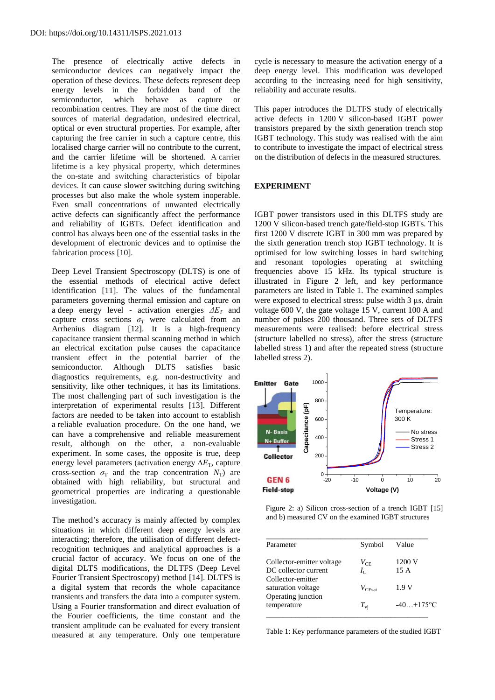The presence of electrically active defects in semiconductor devices can negatively impact the operation of these devices. These defects represent deep energy levels in the forbidden band of the semiconductor, which behave as capture or recombination centres. They are most of the time direct sources of material degradation, undesired electrical, optical or even structural properties. For example, after capturing the free carrier in such a capture centre, this localised charge carrier will no contribute to the current, and the carrier lifetime will be shortened. A carrier lifetime is a key physical property, which determines the on-state and switching characteristics of bipolar devices. It can cause slower switching during switching processes but also make the whole system inoperable. Even small concentrations of unwanted electrically active defects can significantly affect the performance and reliability of IGBTs. Defect identification and control has always been one of the essential tasks in the development of electronic devices and to optimise the fabrication process [10].

Deep Level Transient Spectroscopy (DLTS) is one of the essential methods of electrical active defect identification [11]. The values of the fundamental parameters governing thermal emission and capture on a deep energy level - activation energies *ΔE<sup>T</sup>* and capture cross sections  $\sigma_T$  were calculated from an Arrhenius diagram [12]. It is a high-frequency capacitance transient thermal scanning method in which an electrical excitation pulse causes the capacitance transient effect in the potential barrier of the semiconductor. Although DLTS satisfies basic diagnostics requirements, e.g. non-destructivity and sensitivity, like other techniques, it has its limitations. The most challenging part of such investigation is the interpretation of experimental results [13]. Different factors are needed to be taken into account to establish a reliable evaluation procedure. On the one hand, we can have a comprehensive and reliable measurement result, although on the other, a non-evaluable experiment. In some cases, the opposite is true, deep energy level parameters (activation energy Δ*E*<sub>T</sub>, capture cross-section  $\sigma_T$  and the trap concentration  $N_T$ ) are obtained with high reliability, but structural and geometrical properties are indicating a questionable investigation.

The method's accuracy is mainly affected by complex situations in which different deep energy levels are interacting; therefore, the utilisation of different defectrecognition techniques and analytical approaches is a crucial factor of accuracy. We focus on one of the digital DLTS modifications, the DLTFS (Deep Level Fourier Transient Spectroscopy) method [14]. DLTFS is a digital system that records the whole capacitance transients and transfers the data into a computer system. Using a Fourier transformation and direct evaluation of the Fourier coefficients, the time constant and the transient amplitude can be evaluated for every transient measured at any temperature. Only one temperature

cycle is necessary to measure the activation energy of a deep energy level. This modification was developed according to the increasing need for high sensitivity, reliability and accurate results.

This paper introduces the DLTFS study of electrically active defects in 1200 V silicon-based IGBT power transistors prepared by the sixth generation trench stop IGBT technology. This study was realised with the aim to contribute to investigate the impact of electrical stress on the distribution of defects in the measured structures.

# **EXPERIMENT**

IGBT power transistors used in this DLTFS study are 1200 V silicon-based trench gate/field-stop IGBTs. This first 1200 V discrete IGBT in 300 mm was prepared by the sixth generation trench stop IGBT technology. It is optimised for low switching losses in hard switching and resonant topologies operating at switching frequencies above 15 kHz. Its typical structure is illustrated in Figure 2 left, and key performance parameters are listed in Table 1. The examined samples were exposed to electrical stress: pulse width 3  $\mu$ s, drain voltage 600 V, the gate voltage 15 V, current 100 A and number of pulses 200 thousand. Three sets of DLTFS measurements were realised: before electrical stress (structure labelled no stress), after the stress (structure labelled stress 1) and after the repeated stress (structure labelled stress 2).



 Figure 2: a) Silicon cross-section of a trench IGBT [15] and b) measured CV on the examined IGBT structures

| Parameter                 | Symbol            | Value        |
|---------------------------|-------------------|--------------|
| Collector-emitter voltage | $V_{\rm CE}$      | 1200 V       |
| DC collector current      | $I_{\mathcal{C}}$ | 15 A         |
| Collector-emitter         |                   |              |
| saturation voltage        | $V_{\rm{CFact}}$  | 1.9 V        |
| Operating junction        |                   |              |
| temperature               | $T_{\rm vi}$      | $-40+175$ °C |

Table 1: Key performance parameters of the studied IGBT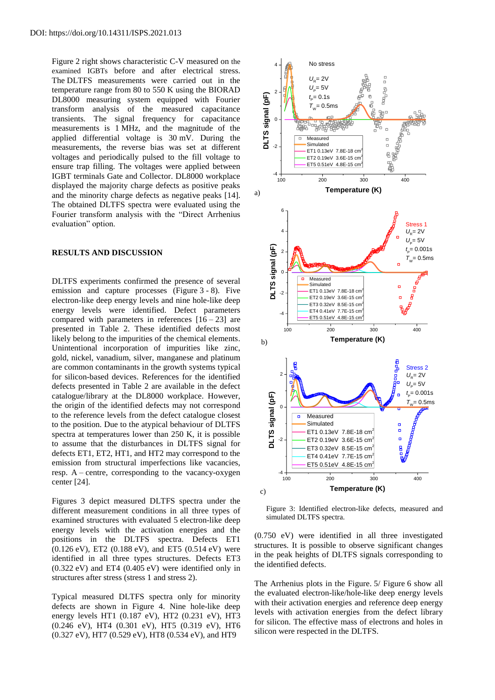Figure 2 right shows characteristic C-V measured on the examined IGBTs before and after electrical stress. The DLTFS measurements were carried out in the temperature range from 80 to 550 K using the BIORAD DL8000 measuring system equipped with Fourier transform analysis of the measured capacitance transients. The signal frequency for capacitance measurements is 1 MHz, and the magnitude of the applied differential voltage is 30 mV. During the measurements, the reverse bias was set at different voltages and periodically pulsed to the fill voltage to ensure trap filling. The voltages were applied between IGBT terminals Gate and Collector. DL8000 workplace displayed the majority charge defects as positive peaks and the minority charge defects as negative peaks [14]. The obtained DLTFS spectra were evaluated using the Fourier transform analysis with the "Direct Arrhenius evaluation" option.

#### **RESULTS AND DISCUSSION**

DLTFS experiments confirmed the presence of several emission and capture processes (Figure 3 - 8). Five electron-like deep energy levels and nine hole-like deep energy levels were identified. Defect parameters compared with parameters in references  $[16 - 23]$  are presented in Table 2. These identified defects most likely belong to the impurities of the chemical elements. Unintentional incorporation of impurities like zinc, gold, nickel, vanadium, silver, manganese and platinum are common contaminants in the growth systems typical for silicon-based devices. References for the identified defects presented in Table 2 are available in the defect catalogue/library at the DL8000 workplace. However, the origin of the identified defects may not correspond to the reference levels from the defect catalogue closest to the position. Due to the atypical behaviour of DLTFS spectra at temperatures lower than 250 K, it is possible to assume that the disturbances in DLTFS signal for defects ET1, ET2, HT1, and HT2 may correspond to the emission from structural imperfections like vacancies, resp. A – centre, corresponding to the vacancy-oxygen center [24].

Figures 3 depict measured DLTFS spectra under the different measurement conditions in all three types of examined structures with evaluated 5 electron-like deep energy levels with the activation energies and the positions in the DLTFS spectra. Defects ET1 (0.126 eV), ET2 (0.188 eV), and ET5 (0.514 eV) were identified in all three types structures. Defects ET3 (0.322 eV) and ET4 (0.405 eV) were identified only in structures after stress (stress 1 and stress 2).

Typical measured DLTFS spectra only for minority defects are shown in Figure 4. Nine hole-like deep energy levels HT1 (0.187 eV), HT2 (0.231 eV), HT3 (0.246 eV), HT4 (0.301 eV), HT5 (0.319 eV), HT6 (0.327 eV), HT7 (0.529 eV), HT8 (0.534 eV), and HT9



Figure 3: Identified electron-like defects, measured and simulated DLTFS spectra.

(0.750 eV) were identified in all three investigated structures. It is possible to observe significant changes in the peak heights of DLTFS signals corresponding to the identified defects.

The Arrhenius plots in the Figure. 5/ Figure 6 show all the evaluated electron-like/hole-like deep energy levels with their activation energies and reference deep energy levels with activation energies from the defect library for silicon. The effective mass of electrons and holes in silicon were respected in the DLTFS.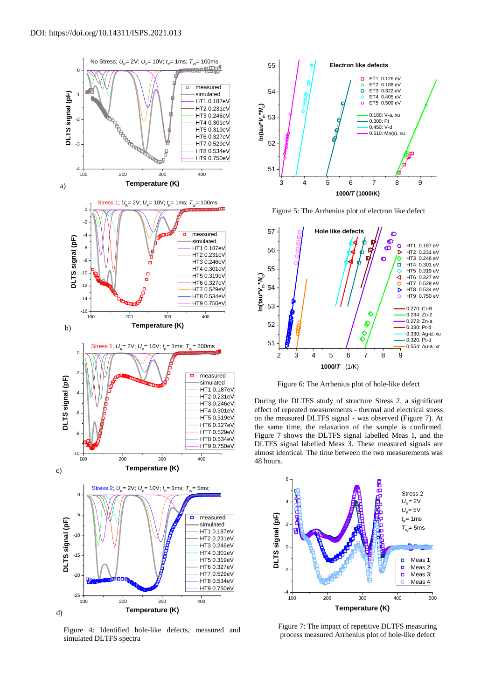

Figure 4: Identified hole-like defects, measured and simulated DLTFS spectra



Figure 5: The Arrhenius plot of electron like defect



Figure 6: The Arrhenius plot of hole-like defect

 HT4 0.301eV effect of repeated measurements - thermal and electrical stress HT5 0.319eV on the measured DLTFS signal - was observed (Figure 7). At HT6 0.327eV the same time, the relaxation of the sample is confirmed. During the DLTFS study of structure Stress 2, a significant Figure 7 shows the DLTFS signal labelled Meas 1, and the DLTFS signal labelled Meas 3. These measured signals are almost identical. The time between the two measurements was 48 hours.



Figure 7: The impact of repetitive DLTFS measuring process measured Arrhenius plot of hole-like defect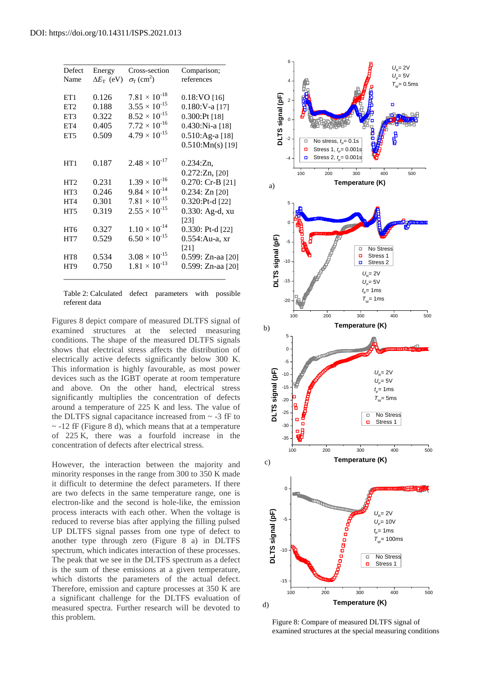| Defect          | Energy                  | Cross-section                        | Comparison;          |
|-----------------|-------------------------|--------------------------------------|----------------------|
| Name            | $\Delta E_{\rm T}$ (eV) | $\sigma_{\Gamma}$ (cm <sup>2</sup> ) | references           |
| ET1             | 0.126                   | $7.81 \times 10^{-18}$               | $0.18$ :VO [16]      |
| ET <sub>2</sub> | 0.188                   | $3.55 \times 10^{-15}$               | $0.180:V-a$ [17]     |
| ET3             | 0.322                   | $8.52 \times 10^{-15}$               | $0.300$ :Pt [18]     |
| ET4             | 0.405                   | $7.72 \times 10^{-16}$               | 0.430:Ni-a [18]      |
| ET <sub>5</sub> | 0.509                   | $4.79 \times 10^{-15}$               | 0.510:Ag-a [18]      |
|                 |                         |                                      | $0.510$ : Mn(s) [19] |
| HT1             | 0.187                   | $2.48 \times 10^{-17}$               | $0.234:Zn$ ,         |
|                 |                         |                                      | $0.272:Zn$ , [20]    |
| HT <sub>2</sub> | 0.231                   | $1.39 \times 10^{-16}$               | $0.270$ : Cr-B [21]  |
| HT3             | 0.246                   | $9.84 \times 10^{-14}$               | 0.234: Zn [20]       |
| HT <sub>4</sub> | 0.301                   | $7.81 \times 10^{-15}$               | $0.320$ :Pt-d [22]   |
| HT <sub>5</sub> | 0.319                   | $2.55 \times 10^{-15}$               | 0.330: Ag-d, xu      |
|                 |                         |                                      | [23]                 |
| HT <sub>6</sub> | 0.327                   | $1.10 \times 10^{-14}$               | $0.330$ : Pt-d [22]  |
| HT7             | 0.529                   | $6.50 \times 10^{-15}$               | 0.554: Au-a, xr      |
|                 |                         |                                      | $\lceil 21 \rceil$   |
| HT8             | 0.534                   | $3.08 \times 10^{-15}$               | 0.599: Zn-aa [20]    |
| HT9             | 0.750                   | $1.81 \times 10^{-13}$               | 0.599: Zn-aa [20]    |

Table 2: Calculated defect parameters with possible referent data

Figures 8 depict compare of measured DLTFS signal of examined structures at the selected measuring conditions. The shape of the measured DLTFS signals shows that electrical stress affects the distribution of electrically active defects significantly below 300 K. This information is highly favourable, as most power devices such as the IGBT operate at room temperature and above. On the other hand, electrical stress significantly multiplies the concentration of defects around a temperature of 225 K and less. The value of the DLTFS signal capacitance increased from  $\sim$  -3 fF to  $\sim$  -12 fF (Figure 8 d), which means that at a temperature of 225 K, there was a fourfold increase in the concentration of defects after electrical stress.

However, the interaction between the majority and minority responses in the range from 300 to 350 K made it difficult to determine the defect parameters. If there are two defects in the same temperature range, one is electron-like and the second is hole-like, the emission process interacts with each other. When the voltage is reduced to reverse bias after applying the filling pulsed UP DLTFS signal passes from one type of defect to another type through zero (Figure 8 a) in DLTFS spectrum, which indicates interaction of these processes. The peak that we see in the DLTFS spectrum as a defect is the sum of these emissions at a given temperature, which distorts the parameters of the actual defect. Therefore, emission and capture processes at 350 K are a significant challenge for the DLTFS evaluation of measured spectra. Further research will be devoted to this problem.



Figure 8: Compare of measured DLTFS signal of examined structures at the special measuring conditions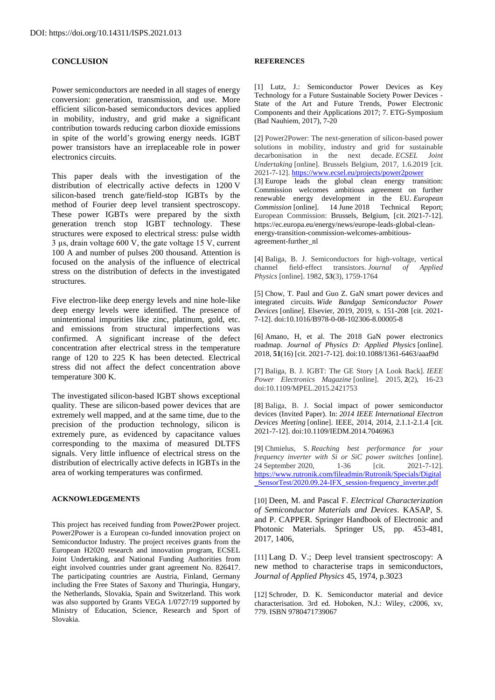## **CONCLUSION**

Power semiconductors are needed in all stages of energy conversion: generation, transmission, and use. More efficient silicon-based semiconductors devices applied in mobility, industry, and grid make a significant contribution towards reducing carbon dioxide emissions in spite of the world's growing energy needs. IGBT power transistors have an irreplaceable role in power electronics circuits.

This paper deals with the investigation of the distribution of electrically active defects in 1200 V silicon-based trench gate/field-stop IGBTs by the method of Fourier deep level transient spectroscopy. These power IGBTs were prepared by the sixth generation trench stop IGBT technology. These structures were exposed to electrical stress: pulse width 3 µs, drain voltage 600 V, the gate voltage 15 V, current 100 A and number of pulses 200 thousand. Attention is focused on the analysis of the influence of electrical stress on the distribution of defects in the investigated structures.

Five electron-like deep energy levels and nine hole-like deep energy levels were identified. The presence of unintentional impurities like zinc, platinum, gold, etc. and emissions from structural imperfections was confirmed. A significant increase of the defect concentration after electrical stress in the temperature range of 120 to 225 K has been detected. Electrical stress did not affect the defect concentration above temperature 300 K.

The investigated silicon-based IGBT shows exceptional quality. These are silicon-based power devices that are extremely well mapped, and at the same time, due to the precision of the production technology, silicon is extremely pure, as evidenced by capacitance values corresponding to the maxima of measured DLTFS signals. Very little influence of electrical stress on the distribution of electrically active defects in IGBTs in the area of working temperatures was confirmed.

### **ACKNOWLEDGEMENTS**

This project has received funding from Power2Power project. Power2Power is a European co-funded innovation project on Semiconductor Industry. The project receives grants from the European H2020 research and innovation program, ECSEL Joint Undertaking, and National Funding Authorities from eight involved countries under grant agreement No. 826417. The participating countries are Austria, Finland, Germany including the Free States of Saxony and Thuringia, Hungary, the Netherlands, Slovakia, Spain and Switzerland. This work was also supported by Grants VEGA 1/0727/19 supported by Ministry of Education, Science, Research and Sport of Slovakia.

#### **REFERENCES**

[1] Lutz, J.: Semiconductor Power Devices as Key Technology for a Future Sustainable Society Power Devices - State of the Art and Future Trends, Power Electronic Components and their Applications 2017; 7. ETG-Symposium (Bad Nauhiem, 2017), 7-20

[2] Power2Power: The next-generation of silicon-based power solutions in mobility, industry and grid for sustainable decarbonisation in the next decade. *ECSEL Joint Undertaking* [online]. Brussels Belgium, 2017, 1.6.2019 [cit. 2021-7-12].<https://www.ecsel.eu/projects/power2power> [3] Europe leads the global clean energy transition: Commission welcomes ambitious agreement on further renewable energy development in the EU. *European Commission* [online]. 14 June 2018 Technical Report; European Commission: Brussels, Belgium, [cit. 2021-7-12]. https://ec.europa.eu/energy/news/europe-leads-global-cleanenergy-transition-commission-welcomes-ambitiousagreement-further\_nl

[4] Baliga, B. J. Semiconductors for high-voltage, vertical channel field‐effect transistors. *Journal of Applied Physics* [online]. 1982, **53**(3), 1759-1764

[5] Chow, T. Paul and Guo Z. GaN smart power devices and integrated circuits. *Wide Bandgap Semiconductor Power Devices* [online]. Elsevier, 2019, 2019, s. 151-208 [cit. 2021- 7-12]. doi:10.1016/B978-0-08-102306-8.00005-8

[6] Amano, H, et al. The 2018 GaN power electronics roadmap. *Journal of Physics D: Applied Physics* [online]. 2018, **51**(16) [cit. 2021-7-12]. doi:10.1088/1361-6463/aaaf9d

[7] Baliga, B. J. IGBT: The GE Story [A Look Back]. *IEEE Power Electronics Magazine* [online]. 2015, **2**(2), 16-23 doi:10.1109/MPEL.2015.2421753

[8] Baliga, B. J. Social impact of power semiconductor devices (Invited Paper). In: *2014 IEEE International Electron Devices Meeting* [online]. IEEE, 2014, 2014, 2.1.1-2.1.4 [cit. 2021-7-12]. doi:10.1109/IEDM.2014.7046963

[9] Chmielus, S. *Reaching best performance for your frequency inverter with Si or SiC power switches* [online].<br>24 September 2020, 1-36 [cit. 2021-7-12]. 24 September 2020, 1-36 [cit. [https://www.rutronik.com/fileadmin/Rutronik/Specials/Digital](https://www.rutronik.com/fileadmin/Rutronik/Specials/Digital_SensorTest/2020.09.24-IFX_session-frequency_inverter.pdf) [\\_SensorTest/2020.09.24-IFX\\_session-frequency\\_inverter.pdf](https://www.rutronik.com/fileadmin/Rutronik/Specials/Digital_SensorTest/2020.09.24-IFX_session-frequency_inverter.pdf)

[10] Deen, M. and Pascal F. *Electrical Characterization of Semiconductor Materials and Devices*. KASAP, S. and P. CAPPER. Springer Handbook of Electronic and Photonic Materials. Springer US, pp. 453-481, 2017, 1406,

[11] Lang D. V.; Deep level transient spectroscopy: A new method to characterise traps in semiconductors, *Journal of Applied Physics* 45, 1974, p.3023

[12] Schroder, D. K. Semiconductor material and device characterisation. 3rd ed. Hoboken, N.J.: Wiley, c2006, xv, 779. ISBN 9780471739067